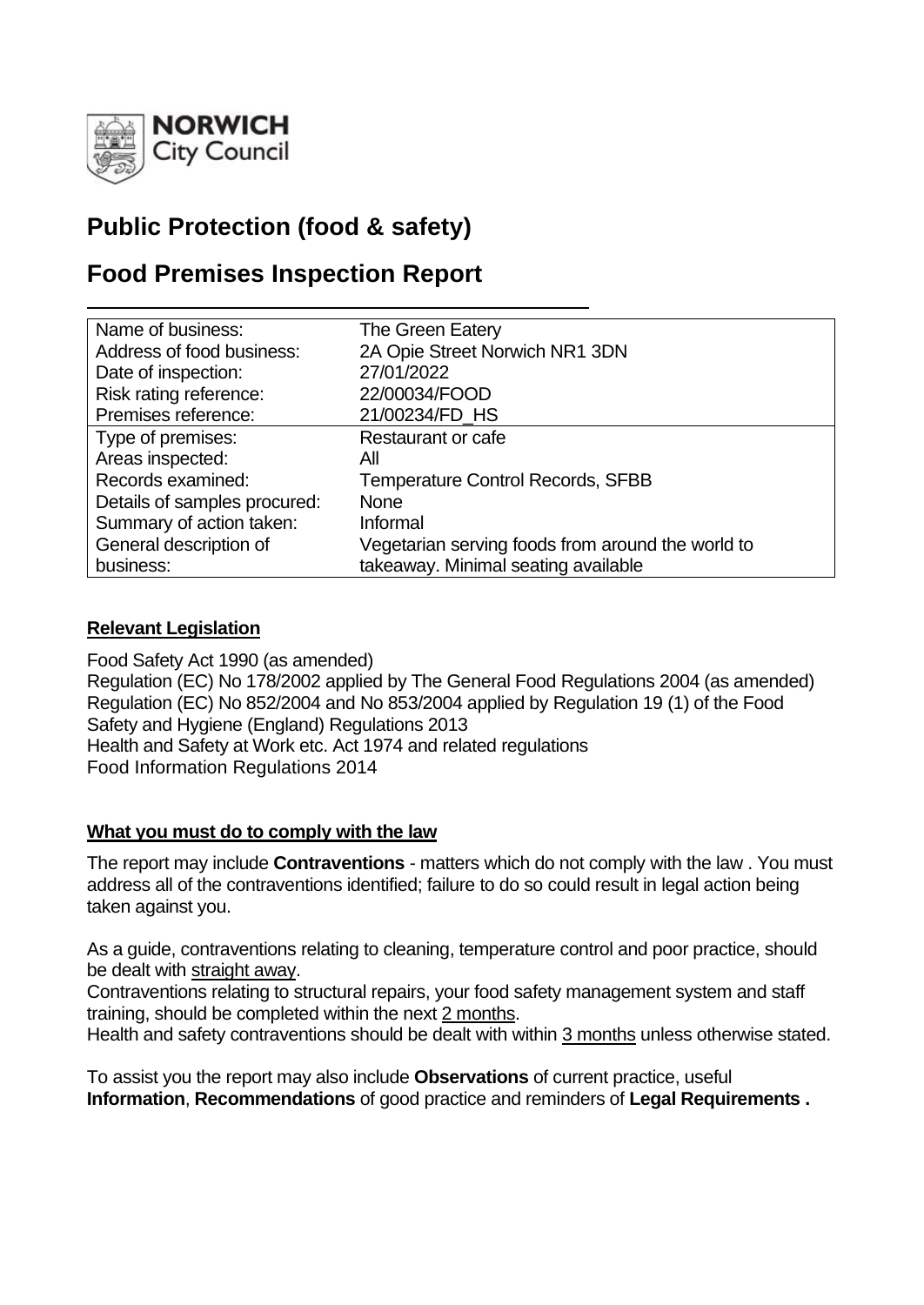

# **Public Protection (food & safety)**

# **Food Premises Inspection Report**

| Name of business:            | The Green Eatery                                  |
|------------------------------|---------------------------------------------------|
| Address of food business:    | 2A Opie Street Norwich NR1 3DN                    |
| Date of inspection:          | 27/01/2022                                        |
| Risk rating reference:       | 22/00034/FOOD                                     |
| Premises reference:          | 21/00234/FD HS                                    |
| Type of premises:            | <b>Restaurant or cafe</b>                         |
| Areas inspected:             | All                                               |
| Records examined:            | <b>Temperature Control Records, SFBB</b>          |
| Details of samples procured: | <b>None</b>                                       |
| Summary of action taken:     | Informal                                          |
| General description of       | Vegetarian serving foods from around the world to |
| business:                    | takeaway. Minimal seating available               |

# **Relevant Legislation**

Food Safety Act 1990 (as amended) Regulation (EC) No 178/2002 applied by The General Food Regulations 2004 (as amended) Regulation (EC) No 852/2004 and No 853/2004 applied by Regulation 19 (1) of the Food Safety and Hygiene (England) Regulations 2013 Health and Safety at Work etc. Act 1974 and related regulations Food Information Regulations 2014

# **What you must do to comply with the law**

The report may include **Contraventions** - matters which do not comply with the law . You must address all of the contraventions identified; failure to do so could result in legal action being taken against you.

As a guide, contraventions relating to cleaning, temperature control and poor practice, should be dealt with straight away.

Contraventions relating to structural repairs, your food safety management system and staff training, should be completed within the next 2 months.

Health and safety contraventions should be dealt with within 3 months unless otherwise stated.

To assist you the report may also include **Observations** of current practice, useful **Information**, **Recommendations** of good practice and reminders of **Legal Requirements .**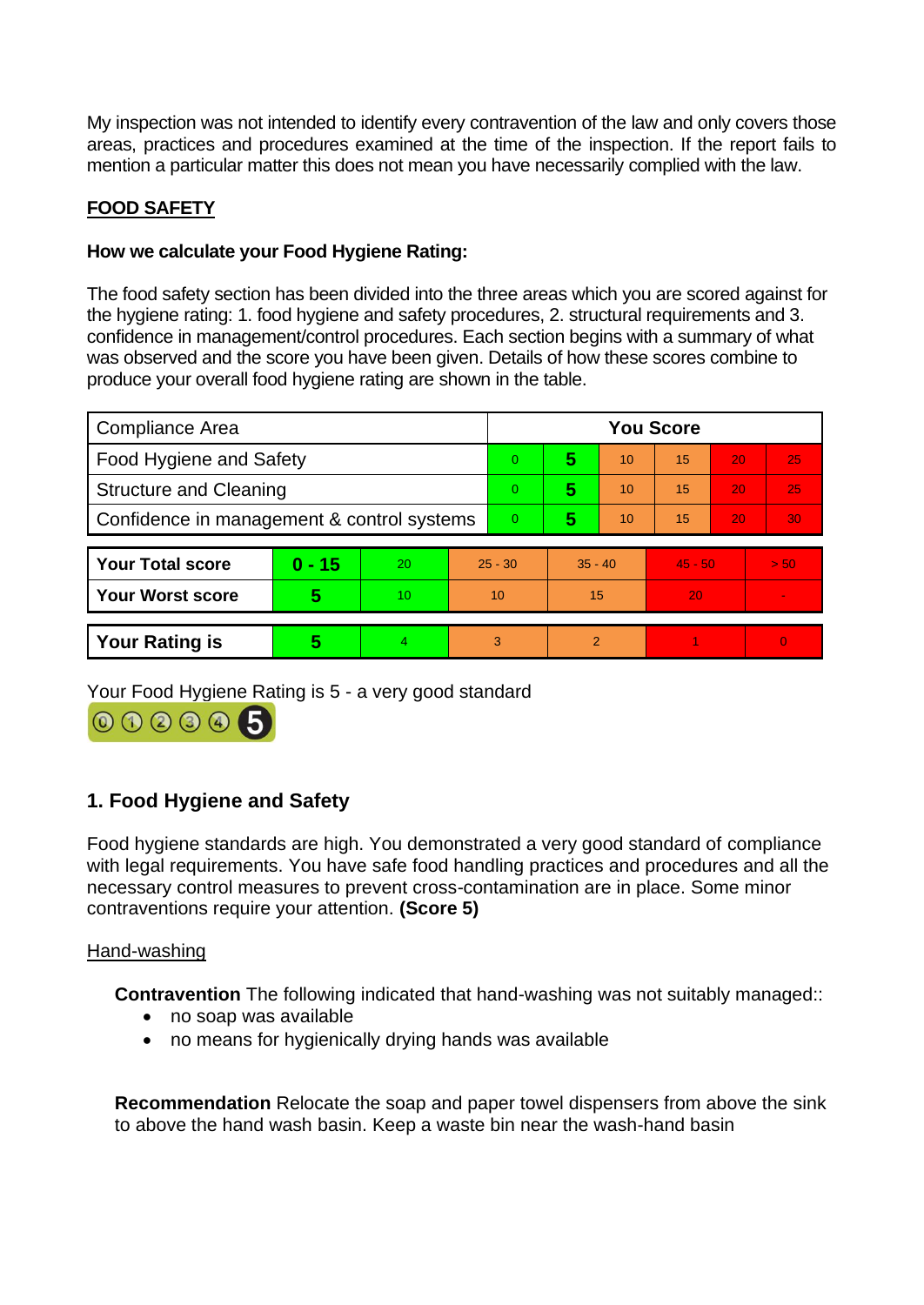My inspection was not intended to identify every contravention of the law and only covers those areas, practices and procedures examined at the time of the inspection. If the report fails to mention a particular matter this does not mean you have necessarily complied with the law.

# **FOOD SAFETY**

# **How we calculate your Food Hygiene Rating:**

The food safety section has been divided into the three areas which you are scored against for the hygiene rating: 1. food hygiene and safety procedures, 2. structural requirements and 3. confidence in management/control procedures. Each section begins with a summary of what was observed and the score you have been given. Details of how these scores combine to produce your overall food hygiene rating are shown in the table.

| Compliance Area                            |          |    |                | <b>You Score</b> |                |    |           |                 |                |  |
|--------------------------------------------|----------|----|----------------|------------------|----------------|----|-----------|-----------------|----------------|--|
| Food Hygiene and Safety                    |          |    |                | 0                | 5              | 10 | 15        | 20              | 25             |  |
| <b>Structure and Cleaning</b>              |          |    | $\overline{0}$ | 5                | 10             | 15 | 20        | 25              |                |  |
| Confidence in management & control systems |          |    | $\overline{0}$ | 5                | 10             | 15 | 20        | 30 <sub>1</sub> |                |  |
|                                            |          |    |                |                  |                |    |           |                 |                |  |
| <b>Your Total score</b>                    | $0 - 15$ | 20 | $25 - 30$      |                  | $35 - 40$      |    | $45 - 50$ |                 | > 50           |  |
| <b>Your Worst score</b>                    | 5        | 10 | 10             |                  | 15             |    | 20        |                 | $\blacksquare$ |  |
|                                            |          |    |                |                  |                |    |           |                 |                |  |
| <b>Your Rating is</b>                      | 5        | 4  | 3              |                  | $\overline{2}$ |    |           |                 | $\overline{0}$ |  |

Your Food Hygiene Rating is 5 - a very good standard



# **1. Food Hygiene and Safety**

Food hygiene standards are high. You demonstrated a very good standard of compliance with legal requirements. You have safe food handling practices and procedures and all the necessary control measures to prevent cross-contamination are in place. Some minor contraventions require your attention. **(Score 5)**

# Hand-washing

**Contravention** The following indicated that hand-washing was not suitably managed:

- no soap was available
- no means for hygienically drying hands was available

**Recommendation** Relocate the soap and paper towel dispensers from above the sink to above the hand wash basin. Keep a waste bin near the wash-hand basin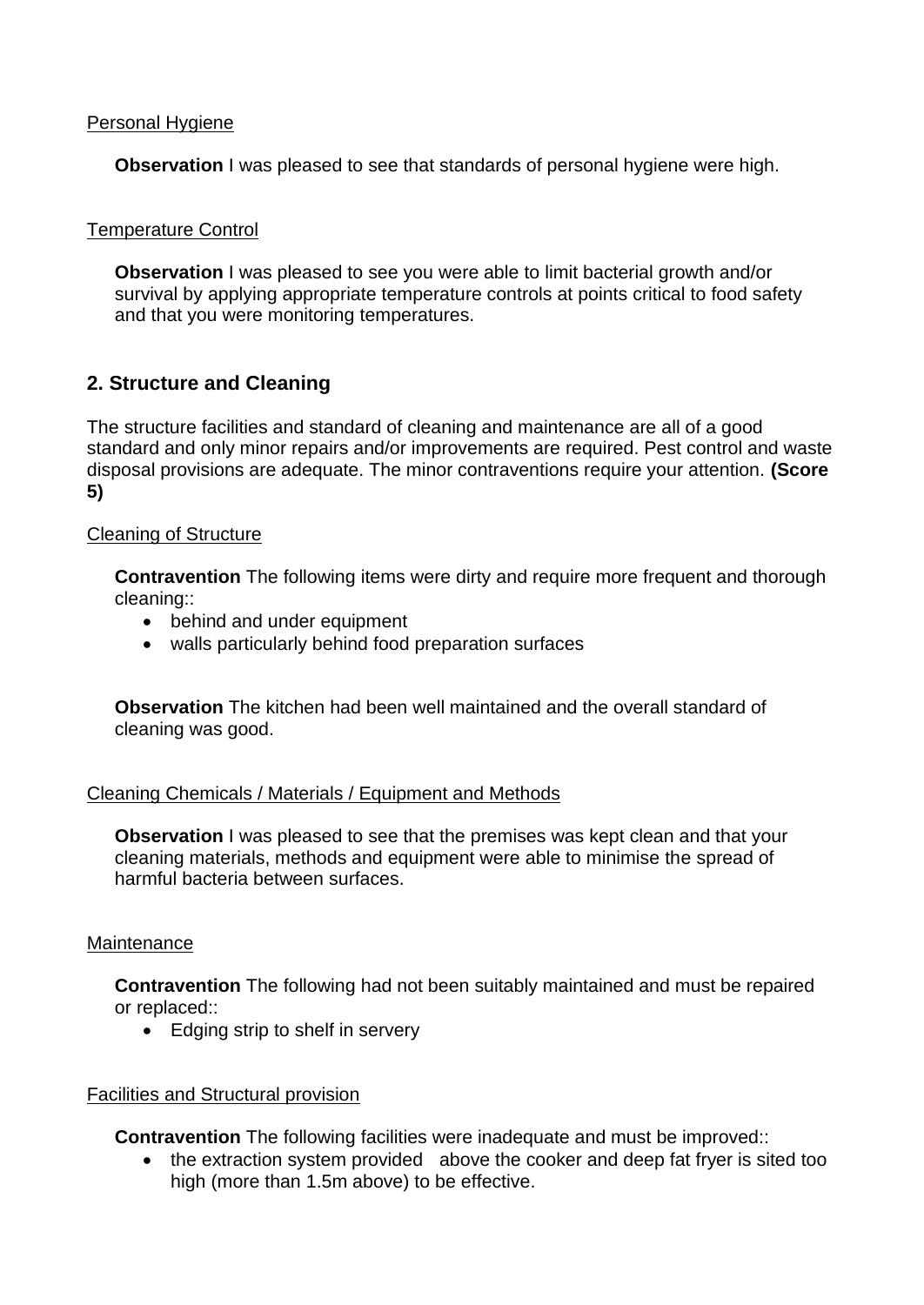#### Personal Hygiene

**Observation** I was pleased to see that standards of personal hygiene were high.

#### Temperature Control

**Observation** I was pleased to see you were able to limit bacterial growth and/or survival by applying appropriate temperature controls at points critical to food safety and that you were monitoring temperatures.

# **2. Structure and Cleaning**

The structure facilities and standard of cleaning and maintenance are all of a good standard and only minor repairs and/or improvements are required. Pest control and waste disposal provisions are adequate. The minor contraventions require your attention. **(Score 5)**

#### Cleaning of Structure

**Contravention** The following items were dirty and require more frequent and thorough cleaning::

- behind and under equipment
- walls particularly behind food preparation surfaces

**Observation** The kitchen had been well maintained and the overall standard of cleaning was good.

#### Cleaning Chemicals / Materials / Equipment and Methods

**Observation** I was pleased to see that the premises was kept clean and that your cleaning materials, methods and equipment were able to minimise the spread of harmful bacteria between surfaces.

#### **Maintenance**

**Contravention** The following had not been suitably maintained and must be repaired or replaced::

• Edging strip to shelf in servery

#### Facilities and Structural provision

**Contravention** The following facilities were inadequate and must be improved::

• the extraction system provided above the cooker and deep fat fryer is sited too high (more than 1.5m above) to be effective.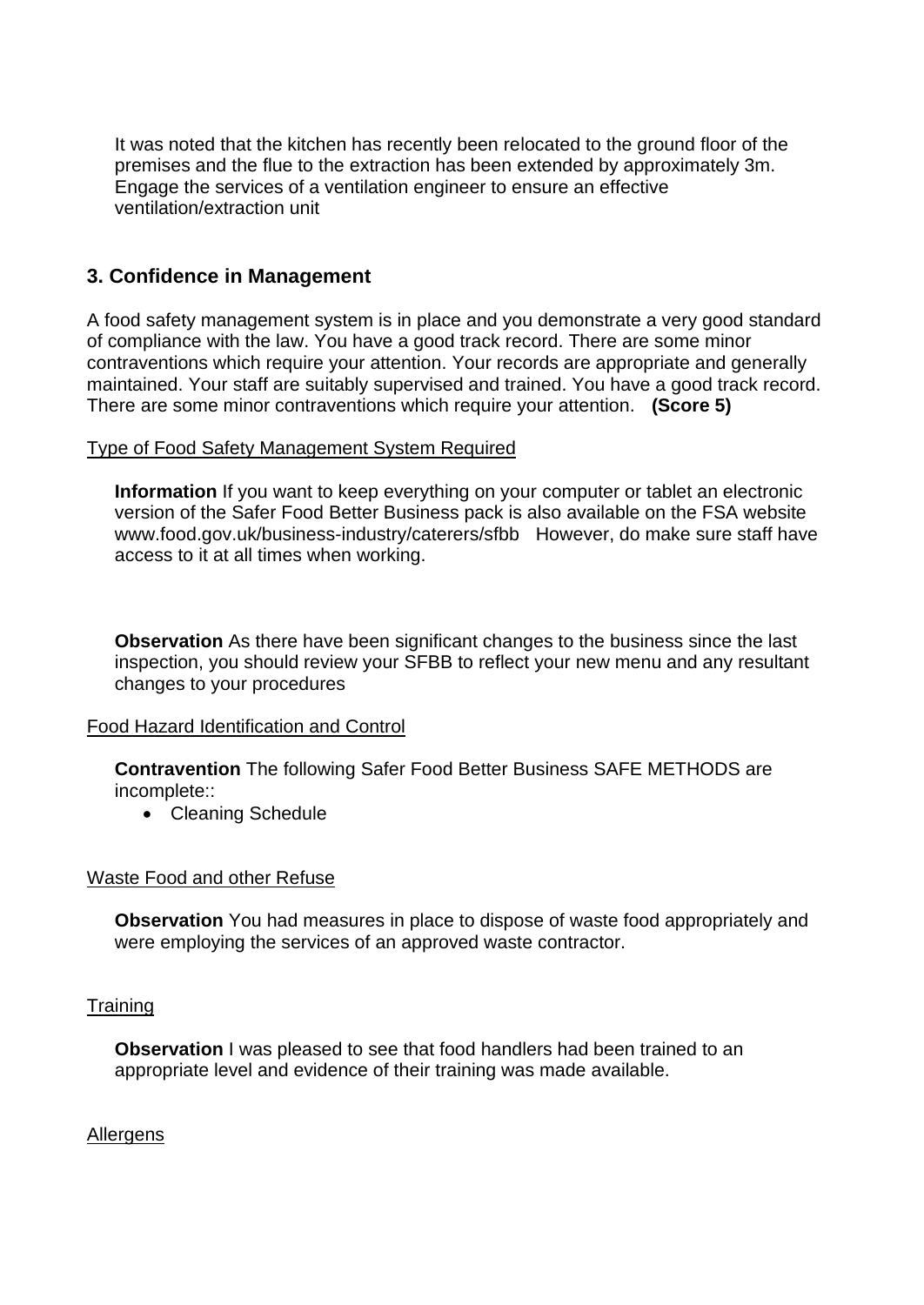It was noted that the kitchen has recently been relocated to the ground floor of the premises and the flue to the extraction has been extended by approximately 3m. Engage the services of a ventilation engineer to ensure an effective ventilation/extraction unit

# **3. Confidence in Management**

A food safety management system is in place and you demonstrate a very good standard of compliance with the law. You have a good track record. There are some minor contraventions which require your attention. Your records are appropriate and generally maintained. Your staff are suitably supervised and trained. You have a good track record. There are some minor contraventions which require your attention. **(Score 5)**

#### Type of Food Safety Management System Required

**Information** If you want to keep everything on your computer or tablet an electronic version of the Safer Food Better Business pack is also available on the FSA website www.food.gov.uk/business-industry/caterers/sfbb However, do make sure staff have access to it at all times when working.

**Observation** As there have been significant changes to the business since the last inspection, you should review your SFBB to reflect your new menu and any resultant changes to your procedures

#### Food Hazard Identification and Control

**Contravention** The following Safer Food Better Business SAFE METHODS are incomplete::

• Cleaning Schedule

#### Waste Food and other Refuse

**Observation** You had measures in place to dispose of waste food appropriately and were employing the services of an approved waste contractor.

#### **Training**

**Observation** I was pleased to see that food handlers had been trained to an appropriate level and evidence of their training was made available.

Allergens